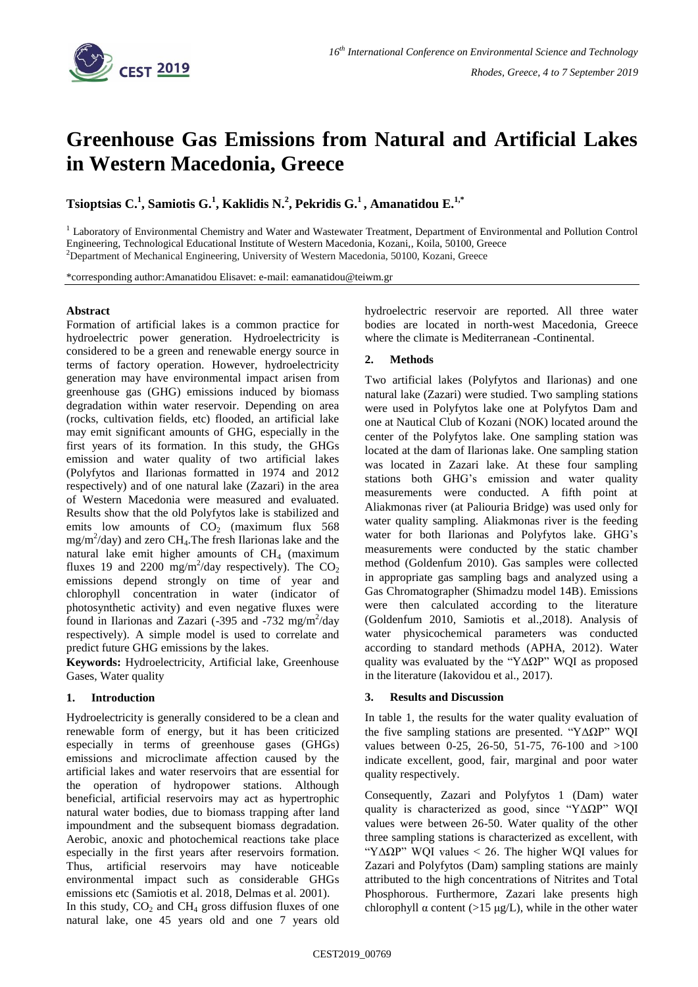

# **Greenhouse Gas Emissions from Natural and Artificial Lakes in Western Macedonia, Greece**

**Tsioptsias C.<sup>1</sup> , Samiotis G.<sup>1</sup> , Kaklidis N.<sup>2</sup> , Pekridis G.<sup>1</sup> , Amanatidou E. 1,\***

<sup>1</sup> Laboratory of Environmental Chemistry and Water and Wastewater Treatment, Department of Environmental and Pollution Control Engineering, Technological Educational Institute of Western Macedonia, Kozani,, Koila, 50100, Greece <sup>2</sup>Department of Mechanical Engineering, University of Western Macedonia, 50100, Kozani, Greece

\*corresponding author:Amanatidou Elisavet: e-mail: eamanatidou@teiwm.gr

### **Abstract**

Formation of artificial lakes is a common practice for hydroelectric power generation. Hydroelectricity is considered to be a green and renewable energy source in terms of factory operation. However, hydroelectricity generation may have environmental impact arisen from greenhouse gas (GHG) emissions induced by biomass degradation within water reservoir. Depending on area (rocks, cultivation fields, etc) flooded, an artificial lake may emit significant amounts of GHG, especially in the first years of its formation. In this study, the GHGs emission and water quality of two artificial lakes (Polyfytos and Ilarionas formatted in 1974 and 2012 respectively) and of one natural lake (Zazari) in the area of Western Macedonia were measured and evaluated. Results show that the old Polyfytos lake is stabilized and emits low amounts of  $CO<sub>2</sub>$  (maximum flux 568)  $mg/m^2$ /day) and zero CH<sub>4</sub>. The fresh Ilarionas lake and the natural lake emit higher amounts of  $CH<sub>4</sub>$  (maximum fluxes 19 and 2200 mg/m<sup>2</sup>/day respectively). The  $CO<sub>2</sub>$ emissions depend strongly on time of year and chlorophyll concentration in water (indicator of photosynthetic activity) and even negative fluxes were found in Ilarionas and Zazari (-395 and -732 mg/m<sup>2</sup>/day respectively). A simple model is used to correlate and predict future GHG emissions by the lakes.

**Keywords:** Hydroelectricity, Artificial lake, Greenhouse Gases, Water quality

## **1. Introduction**

Hydroelectricity is generally considered to be a clean and renewable form of energy, but it has been criticized especially in terms of greenhouse gases (GHGs) emissions and microclimate affection caused by the artificial lakes and water reservoirs that are essential for the operation of hydropower stations. Although beneficial, artificial reservoirs may act as hypertrophic natural water bodies, due to biomass trapping after land impoundment and the subsequent biomass degradation. Aerobic, anoxic and photochemical reactions take place especially in the first years after reservoirs formation. Thus, artificial reservoirs may have noticeable environmental impact such as considerable GHGs emissions etc (Samiotis et al. 2018, Delmas et al. 2001). In this study,  $CO<sub>2</sub>$  and  $CH<sub>4</sub>$  gross diffusion fluxes of one natural lake, one 45 years old and one 7 years old hydroelectric reservoir are reported. All three water bodies are located in north-west Macedonia, Greece where the climate is Mediterranean -Continental.

# **2. Methods**

Two artificial lakes (Polyfytos and Ilarionas) and one natural lake (Zazari) were studied. Two sampling stations were used in Polyfytos lake one at Polyfytos Dam and one at Nautical Club of Kozani (NOK) located around the center of the Polyfytos lake. One sampling station was located at the dam of Ilarionas lake. One sampling station was located in Zazari lake. At these four sampling stations both GHG's emission and water quality measurements were conducted. A fifth point at Aliakmonas river (at Paliouria Bridge) was used only for water quality sampling. Aliakmonas river is the feeding water for both Ilarionas and Polyfytos lake. GHG's measurements were conducted by the static chamber method (Goldenfum 2010). Gas samples were collected in appropriate gas sampling bags and analyzed using a Gas Chromatographer (Shimadzu model 14B). Emissions were then calculated according to the literature (Goldenfum 2010, Samiotis et al.,2018). Analysis of water physicochemical parameters was conducted according to standard methods (APHA, 2012). Water quality was evaluated by the "ΥΔΩΡ" WOI as proposed in the literature (Iakovidou et al., 2017).

## **3. Results and Discussion**

In table 1, the results for the water quality evaluation of the five sampling stations are presented. "ΥΔΩΡ" WQI values between 0-25, 26-50, 51-75, 76-100 and >100 indicate excellent, good, fair, marginal and poor water quality respectively.

Consequently, Zazari and Polyfytos 1 (Dam) water quality is characterized as good, since "ΥΔΩΡ" WQI values were between 26-50. Water quality of the other three sampling stations is characterized as excellent, with "ΥΔΩΡ" WQI values < 26. The higher WQI values for Zazari and Polyfytos (Dam) sampling stations are mainly attributed to the high concentrations of Nitrites and Total Phosphorous. Furthermore, Zazari lake presents high chlorophyll  $\alpha$  content (>15 μg/L), while in the other water